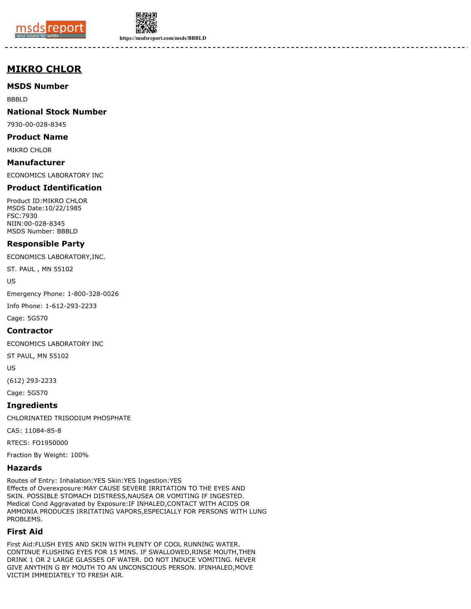



**https://msdsreport.com/msds/BBBLD**

# **MIKRO CHLOR**

**MSDS Number**

BBBLD

**National Stock Number**

7930-00-028-8345

**Product Name**

MIKRO CHLOR

**Manufacturer** ECONOMICS LABORATORY INC

## **Product Identification**

Product ID:MIKRO CHLOR MSDS Date:10/22/1985 FSC:7930 NIIN:00-028-8345 MSDS Number: BBBLD

## **Responsible Party**

ECONOMICS LABORATORY,INC.

ST. PAUL , MN 55102

US

Emergency Phone: 1-800-328-0026

Info Phone: 1-612-293-2233

Cage: 5G570

#### **Contractor**

ECONOMICS LABORATORY INC

ST PAUL, MN 55102

US

(612) 293-2233

Cage: 5G570

**Ingredients**

CHLORINATED TRISODIUM PHOSPHATE

CAS: 11084-85-8

RTECS: FO1950000

Fraction By Weight: 100%

## **Hazards**

Routes of Entry: Inhalation:YES Skin:YES Ingestion:YES Effects of Overexposure:MAY CAUSE SEVERE IRRITATION TO THE EYES AND SKIN. POSSIBLE STOMACH DISTRESS,NAUSEA OR VOMITING IF INGESTED. Medical Cond Aggravated by Exposure:IF INHALED,CONTACT WITH ACIDS OR AMMONIA PRODUCES IRRITATING VAPORS,ESPECIALLY FOR PERSONS WITH LUNG PROBLEMS.

## **First Aid**

First Aid:FLUSH EYES AND SKIN WITH PLENTY OF COOL RUNNING WATER. CONTINUE FLUSHING EYES FOR 15 MINS. IF SWALLOWED,RINSE MOUTH,THEN DRINK 1 OR 2 LARGE GLASSES OF WATER. DO NOT INDUCE VOMITING. NEVER GIVE ANYTHIN G BY MOUTH TO AN UNCONSCIOUS PERSON. IFINHALED,MOVE VICTIM IMMEDIATELY TO FRESH AIR.